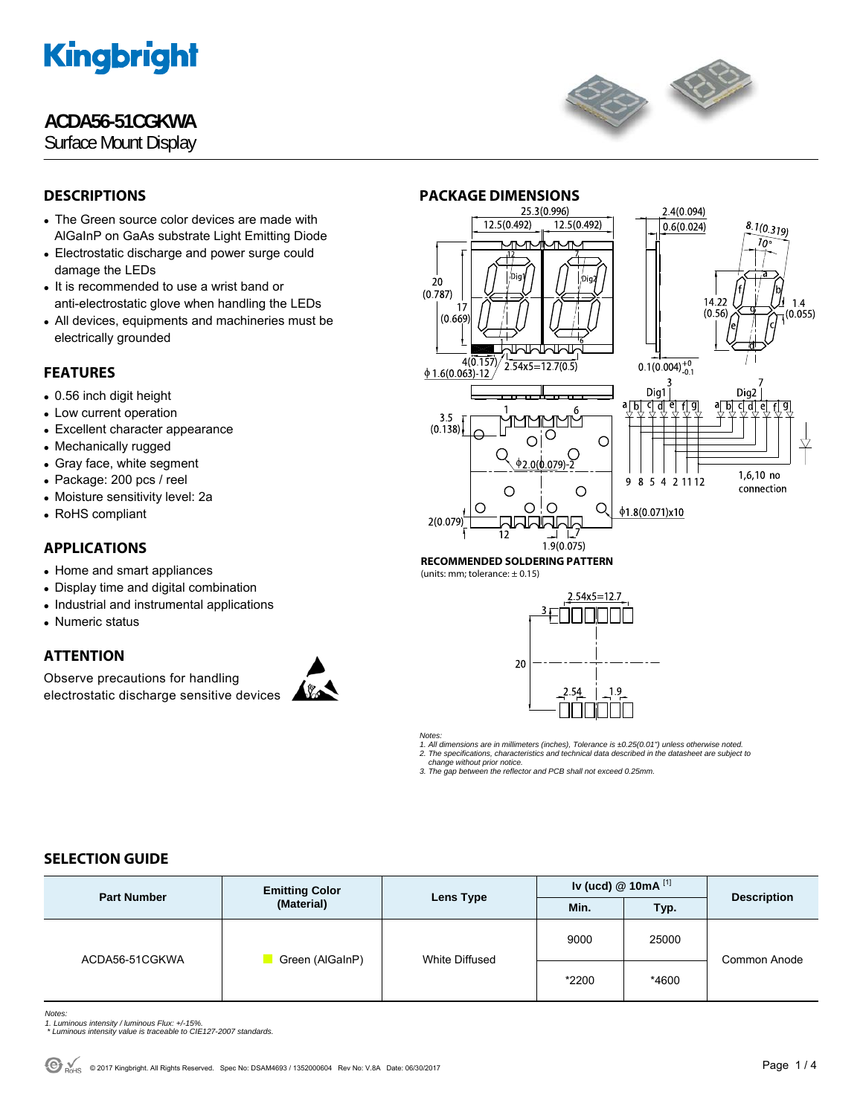## **ACDA56-51CGKWA**

Surface Mount Display



## **DESCRIPTIONS**

- The Green source color devices are made with AlGaInP on GaAs substrate Light Emitting Diode
- Electrostatic discharge and power surge could damage the LEDs
- It is recommended to use a wrist band or anti-electrostatic glove when handling the LEDs
- All devices, equipments and machineries must be electrically grounded

### **FEATURES**

- 0.56 inch digit height
- Low current operation
- Excellent character appearance
- Mechanically rugged
- Gray face, white segment
- Package: 200 pcs / reel
- Moisture sensitivity level: 2a
- RoHS compliant

## **APPLICATIONS**

- Home and smart appliances
- Display time and digital combination
- Industrial and instrumental applications
- Numeric status

#### **ATTENTION**

Observe precautions for handling electrostatic discharge sensitive devices





#### **RECOMMENDED SOLDERING PATTERN**  (units: mm; tolerance:  $\pm$  0.15)



*Notes:* 

*1. All dimensions are in millimeters (inches), Tolerance is ±0.25(0.01") unless otherwise noted.* 

*2. The specifications, characteristics and technical data described in the datasheet are subject to change without prior notice.* 

*3. The gap between the reflector and PCB shall not exceed 0.25mm.* 

## **SELECTION GUIDE**

| <b>Part Number</b> | <b>Emitting Color</b><br>(Material) | Lens Type             | Iv (ucd) $@$ 10mA $^{[1]}$ |       | <b>Description</b> |
|--------------------|-------------------------------------|-----------------------|----------------------------|-------|--------------------|
|                    |                                     |                       | Min.                       | Typ.  |                    |
| ACDA56-51CGKWA     | Green (AlGaInP)                     | <b>White Diffused</b> | 9000                       | 25000 | Common Anode       |
|                    |                                     |                       | *2200                      | *4600 |                    |

*Notes:* 

- *1. Luminous intensity / luminous Flux: +/-15%. \* Luminous intensity value is traceable to CIE127-2007 standards.*
-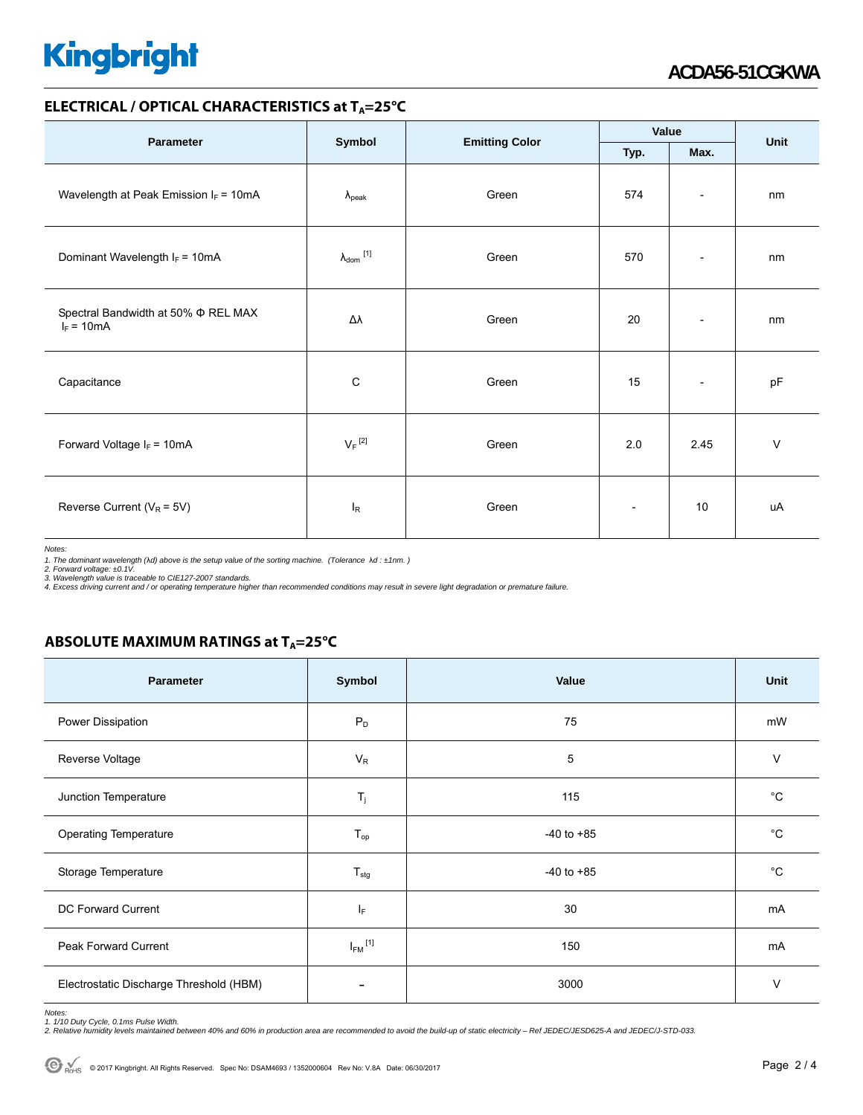#### **ELECTRICAL / OPTICAL CHARACTERISTICS at T<sub>A</sub>=25°C**

|                                                          |                              |                       | Value                    |                          | Unit   |
|----------------------------------------------------------|------------------------------|-----------------------|--------------------------|--------------------------|--------|
| <b>Parameter</b>                                         | Symbol                       | <b>Emitting Color</b> | Max.<br>Typ.             |                          |        |
| Wavelength at Peak Emission $I_F = 10mA$                 | $\lambda_{\rm peak}$         | Green                 | 574                      | $\overline{\phantom{a}}$ | nm     |
| Dominant Wavelength $I_F = 10mA$                         | $\lambda_{\mathsf{dom}}$ [1] | Green                 | 570                      | $\overline{\phantom{a}}$ | nm     |
| Spectral Bandwidth at 50% $\Phi$ REL MAX<br>$I_F = 10mA$ | Δλ                           | Green                 | 20                       | $\overline{\phantom{a}}$ | nm     |
| Capacitance                                              | $\mathbf C$                  | Green                 | 15                       | $\overline{\phantom{a}}$ | pF     |
| Forward Voltage $I_F = 10mA$                             | $V_F$ <sup>[2]</sup>         | Green                 | 2.0                      | 2.45                     | $\vee$ |
| Reverse Current ( $V_R$ = 5V)                            | $I_R$                        | Green                 | $\overline{\phantom{a}}$ | 10                       | uA     |

*Notes:* 

1. The dominant wavelength (λd) above is the setup value of the sorting machine. (Tolerance λd : ±1nm. )<br>2. Forward voltage: ±0.1V.<br>3. Wavelength value is traceable to CIE127-2007 standards.<br>4. Excess driving current and

#### **ABSOLUTE MAXIMUM RATINGS at T<sub>A</sub>=25°C**

| Parameter                               | Symbol                  | Value          | Unit         |
|-----------------------------------------|-------------------------|----------------|--------------|
| Power Dissipation                       | $P_D$                   | 75             | mW           |
| Reverse Voltage                         | $V_R$                   | 5              | $\vee$       |
| Junction Temperature                    | $T_j$                   | 115            | $^{\circ}C$  |
| <b>Operating Temperature</b>            | $T_{op}$                | $-40$ to $+85$ | $^{\circ}C$  |
| Storage Temperature                     | $T_{\text{stg}}$        | $-40$ to $+85$ | $^{\circ}$ C |
| DC Forward Current                      | ΙF                      | 30             | mA           |
| <b>Peak Forward Current</b>             | $I_{FM}$ <sup>[1]</sup> | 150            | mA           |
| Electrostatic Discharge Threshold (HBM) |                         | 3000           | v            |

Notes:<br>1. 1/10 Duty Cycle, 0.1ms Pulse Width.<br>2. Relative humidity levels maintained between 40% and 60% in production area are recommended to avoid the build-up of static electricity – Ref JEDEC/JESD625-A and JEDEC/J-STD-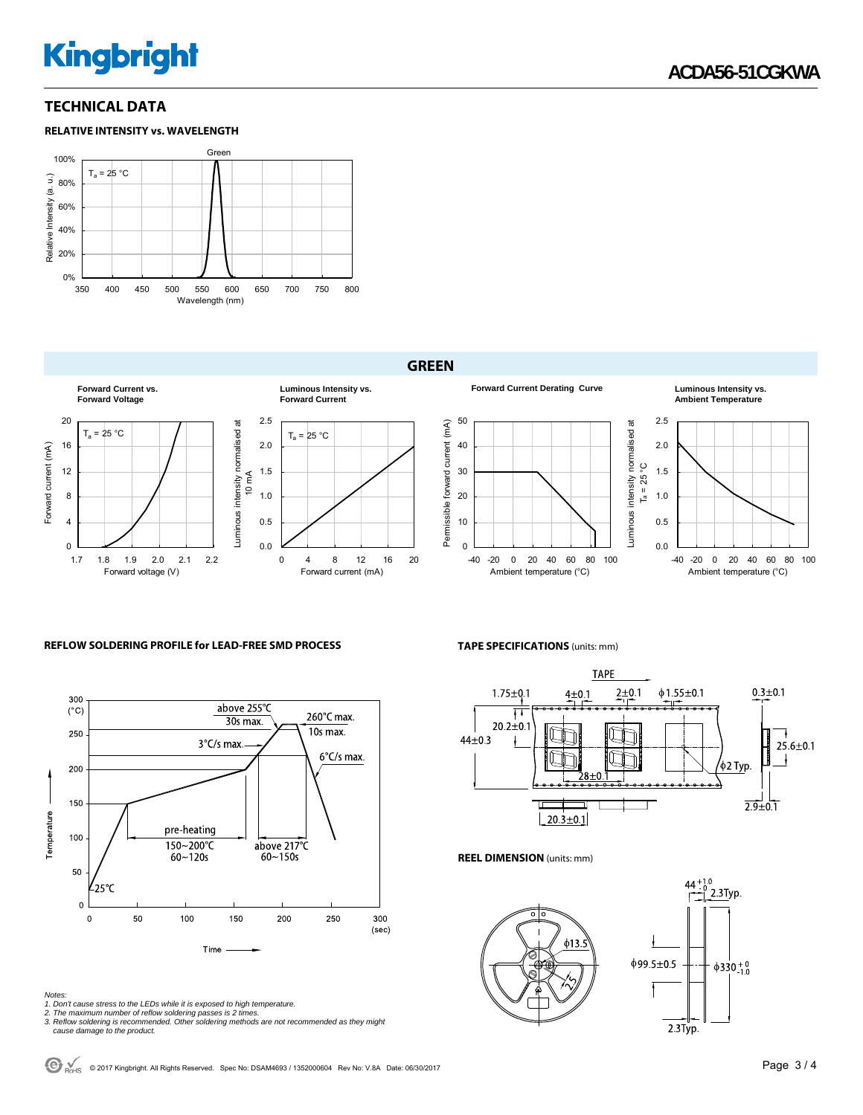### **TECHNICAL DATA**





#### **GREEN**



#### **REFLOW SOLDERING PROFILE for LEAD-FREE SMD PROCESS**



#### *Notes:*

- 
- 
- 1. Don't cause stress to the LEDs while it is exposed to high temperature.<br>2. The maximum number of reflow soldering passes is 2 times.<br>3. Reflow soldering is recommended. Other soldering methods are not recommended as the  *cause damage to the product.*

#### **TAPE SPECIFICATIONS** (units: mm)

-40 -20 0 20 40 60 80 100 Ambient temperature (°C)



0.0 0.5 1.0 1.5 2.0 2.5

Luminous intensity normalised at  $T_a = 25^\circ C$ 

Luminous intensity normalised at  $T_a = 25^{\circ}$ C

**Forward Current Derating Curve Luminous Intensity vs.** 

-40 -20 0 20 40 60 80 100 Ambient temperature (°C)

**Ambient Temperature**

#### **REEL DIMENSION** (units: mm)